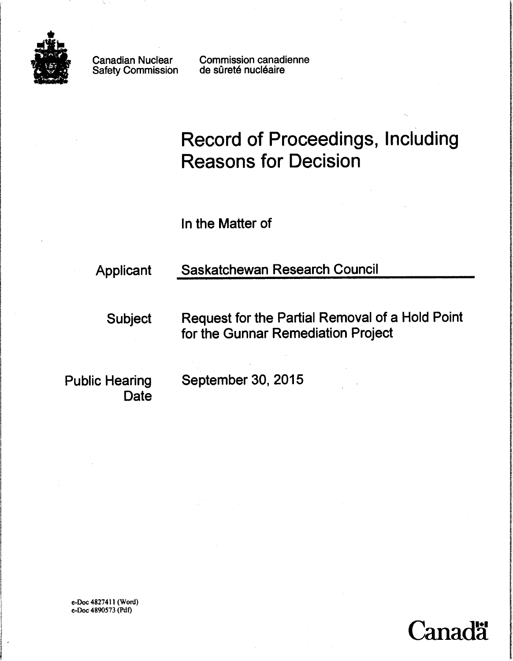

Canadian Nuclear Safety Commission Commission canadienne de sûreté nucléaire

# Record of Proceedings, Including Reasons for Decision

In the Matter of

# Applicant Saskatchewan Research Council

Subject Request for the Partial Removal of a Hold Point for the Gunnar Remediation Project

Date

Public Hearing September 30, 2015

e-Doc 4827411 (Word) e-Doc4890573 (Pdf)

i<br>Indonésia<br>Indonésia

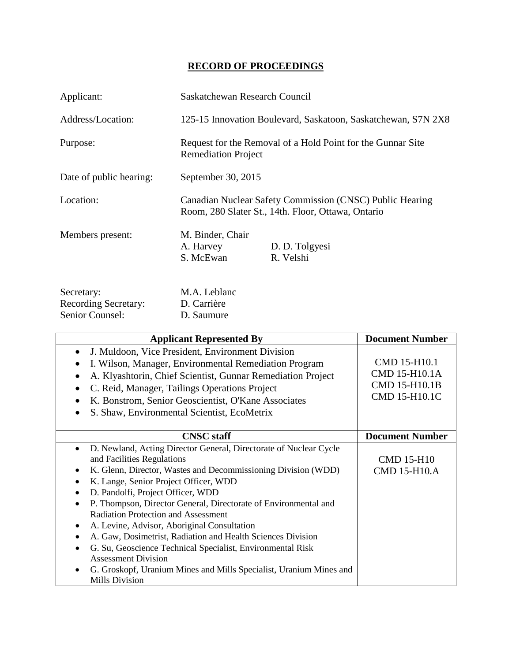## **RECORD OF PROCEEDINGS**

| Applicant:                                | Saskatchewan Research Council                                                                                  |                                                               |
|-------------------------------------------|----------------------------------------------------------------------------------------------------------------|---------------------------------------------------------------|
| Address/Location:                         |                                                                                                                | 125-15 Innovation Boulevard, Saskatoon, Saskatchewan, S7N 2X8 |
| Purpose:                                  | Request for the Removal of a Hold Point for the Gunnar Site<br><b>Remediation Project</b>                      |                                                               |
| Date of public hearing:                   | September 30, 2015                                                                                             |                                                               |
| Location:                                 | Canadian Nuclear Safety Commission (CNSC) Public Hearing<br>Room, 280 Slater St., 14th. Floor, Ottawa, Ontario |                                                               |
| Members present:                          | M. Binder, Chair<br>A. Harvey<br>S. McEwan                                                                     | D. D. Tolgyesi<br>R. Velshi                                   |
| Secretary:<br><b>Recording Secretary:</b> | M.A. Leblanc<br>D. Carrière                                                                                    |                                                               |

| Senior Counsel:<br>D. Saumure                                                                                                                                                                                                                                                                                                                                                                                                                                                                                                                                                                                                                                                                                                                                                         |                                                                 |
|---------------------------------------------------------------------------------------------------------------------------------------------------------------------------------------------------------------------------------------------------------------------------------------------------------------------------------------------------------------------------------------------------------------------------------------------------------------------------------------------------------------------------------------------------------------------------------------------------------------------------------------------------------------------------------------------------------------------------------------------------------------------------------------|-----------------------------------------------------------------|
| <b>Applicant Represented By</b>                                                                                                                                                                                                                                                                                                                                                                                                                                                                                                                                                                                                                                                                                                                                                       | <b>Document Number</b>                                          |
| J. Muldoon, Vice President, Environment Division<br>$\bullet$<br>I. Wilson, Manager, Environmental Remediation Program<br>٠<br>A. Klyashtorin, Chief Scientist, Gunnar Remediation Project<br>$\bullet$<br>C. Reid, Manager, Tailings Operations Project<br>$\bullet$<br>K. Bonstrom, Senior Geoscientist, O'Kane Associates<br>$\bullet$<br>S. Shaw, Environmental Scientist, EcoMetrix<br>$\bullet$                                                                                                                                                                                                                                                                                                                                                                                 | CMD 15-H10.1<br>CMD 15-H10.1A<br>CMD 15-H10.1B<br>CMD 15-H10.1C |
| <b>CNSC</b> staff                                                                                                                                                                                                                                                                                                                                                                                                                                                                                                                                                                                                                                                                                                                                                                     | <b>Document Number</b>                                          |
| D. Newland, Acting Director General, Directorate of Nuclear Cycle<br>$\bullet$<br>and Facilities Regulations<br>K. Glenn, Director, Wastes and Decommissioning Division (WDD)<br>$\bullet$<br>K. Lange, Senior Project Officer, WDD<br>$\bullet$<br>D. Pandolfi, Project Officer, WDD<br>$\bullet$<br>P. Thompson, Director General, Directorate of Environmental and<br>$\bullet$<br><b>Radiation Protection and Assessment</b><br>A. Levine, Advisor, Aboriginal Consultation<br>٠<br>A. Gaw, Dosimetrist, Radiation and Health Sciences Division<br>$\bullet$<br>G. Su, Geoscience Technical Specialist, Environmental Risk<br>$\bullet$<br><b>Assessment Division</b><br>G. Groskopf, Uranium Mines and Mills Specialist, Uranium Mines and<br>$\bullet$<br><b>Mills Division</b> | <b>CMD 15-H10</b><br><b>CMD 15-H10.A</b>                        |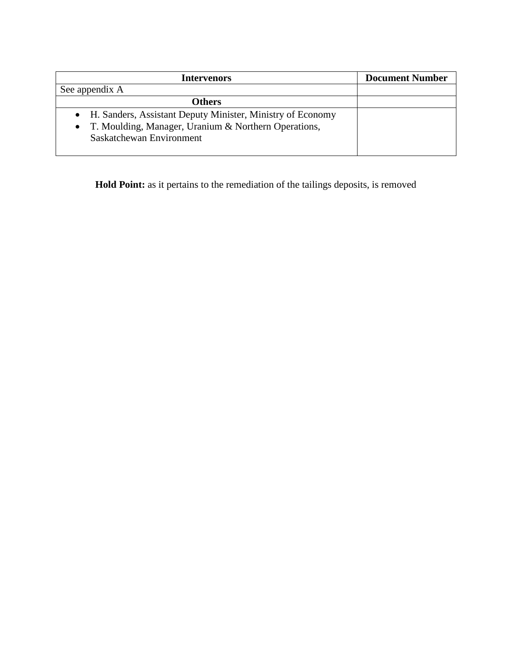| <b>Intervenors</b>                                           | <b>Document Number</b> |
|--------------------------------------------------------------|------------------------|
| See appendix A                                               |                        |
| <b>Others</b>                                                |                        |
| • H. Sanders, Assistant Deputy Minister, Ministry of Economy |                        |
| • T. Moulding, Manager, Uranium & Northern Operations,       |                        |
| Saskatchewan Environment                                     |                        |
|                                                              |                        |

**Hold Point:** as it pertains to the remediation of the tailings deposits, is removed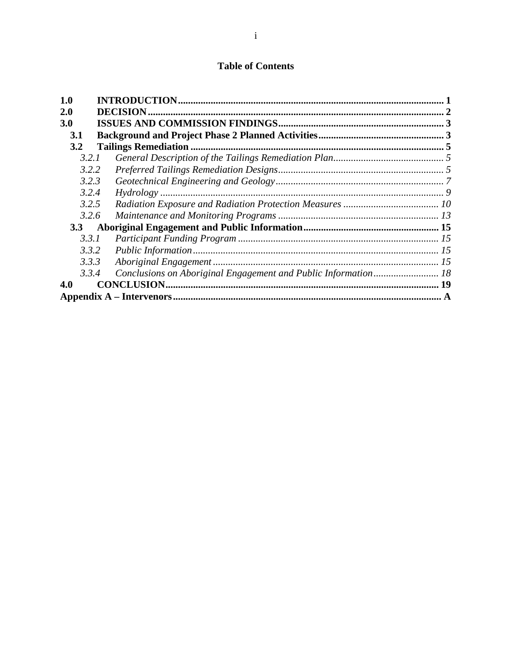### **Table of Contents**

| 1.0        |                                                                |  |
|------------|----------------------------------------------------------------|--|
| <b>2.0</b> | <b>DECISION.</b>                                               |  |
| 3.0        |                                                                |  |
| 3.1        |                                                                |  |
| 3.2        |                                                                |  |
| 3.2.1      |                                                                |  |
| 3.2.2      |                                                                |  |
| 3.2.3      |                                                                |  |
| 3.2.4      |                                                                |  |
| 3.2.5      |                                                                |  |
| 3.2.6      |                                                                |  |
| 3.3        |                                                                |  |
| 3.3.1      |                                                                |  |
| 3.3.2      |                                                                |  |
| 3.3.3      |                                                                |  |
| 3.3.4      | Conclusions on Aboriginal Engagement and Public Information 18 |  |
| 4.0        |                                                                |  |
|            |                                                                |  |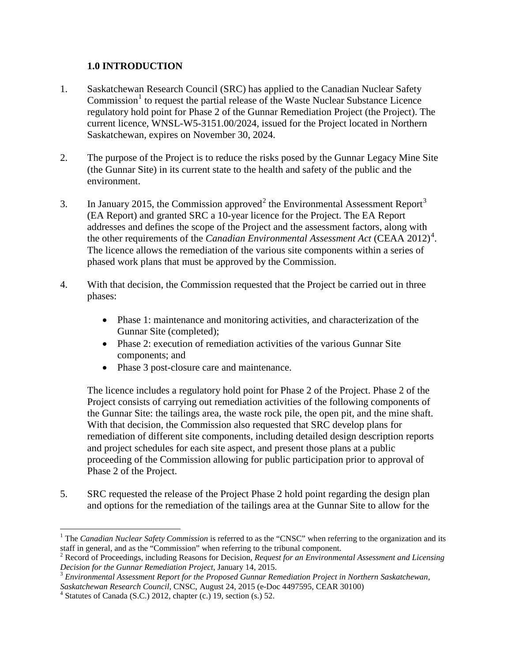#### <span id="page-4-0"></span>**1.0 INTRODUCTION**

- 1. Saskatchewan Research Council (SRC) has applied to the Canadian Nuclear Safety Commission<sup>1</sup> to request the partial release of the Waste Nuclear Substance Licence regulatory hold point for Phase 2 of the Gunnar Remediation Project (the Project). The current licence, WNSL-W5-3151.00/2024, issued for the Project located in Northern Saskatchewan, expires on November 30, 2024.
- 2. The purpose of the Project is to reduce the risks posed by the Gunnar Legacy Mine Site (the Gunnar Site) in its current state to the health and safety of the public and the environment.
- 3. In January [2](#page-4-2)015, the Commission approved<sup>2</sup> the Environmental Assessment Report<sup>[3](#page-4-3)</sup> (EA Report) and granted SRC a 10-year licence for the Project. The EA Report addresses and defines the scope of the Project and the assessment factors, along with the other requirements of the *Canadian Environmental Assessment Act* (CEAA 2012)<sup>[4](#page-4-4)</sup>. The licence allows the remediation of the various site components within a series of phased work plans that must be approved by the Commission.
- 4. With that decision, the Commission requested that the Project be carried out in three phases:
	- Phase 1: maintenance and monitoring activities, and characterization of the Gunnar Site (completed);
	- Phase 2: execution of remediation activities of the various Gunnar Site components; and
	- Phase 3 post-closure care and maintenance.

The licence includes a regulatory hold point for Phase 2 of the Project. Phase 2 of the Project consists of carrying out remediation activities of the following components of the Gunnar Site: the tailings area, the waste rock pile, the open pit, and the mine shaft. With that decision, the Commission also requested that SRC develop plans for remediation of different site components, including detailed design description reports and project schedules for each site aspect, and present those plans at a public proceeding of the Commission allowing for public participation prior to approval of Phase 2 of the Project.

5. SRC requested the release of the Project Phase 2 hold point regarding the design plan and options for the remediation of the tailings area at the Gunnar Site to allow for the

<span id="page-4-1"></span> $\overline{a}$ <sup>1</sup> The *Canadian Nuclear Safety Commission* is referred to as the "CNSC" when referring to the organization and its staff in general, and as the "Commission" when referring to the tribunal component. 2 Record of Proceedings, including Reasons for Decision, *Request for an Environmental Assessment and Licensing* 

<span id="page-4-2"></span>*Decision for the Gunnar Remediation Project*, January 14, 2015.

<span id="page-4-3"></span><sup>3</sup>*Environmental Assessment Report for the Proposed Gunnar Remediation Project in Northern Saskatchewan, Saskatchewan Research Council*, CNSC, August 24, 2015 (e-Doc 4497595, CEAR 30100) 4 Statutes of Canada (S.C.) 2012, chapter (c.) 19, section (s.) 52.

<span id="page-4-4"></span>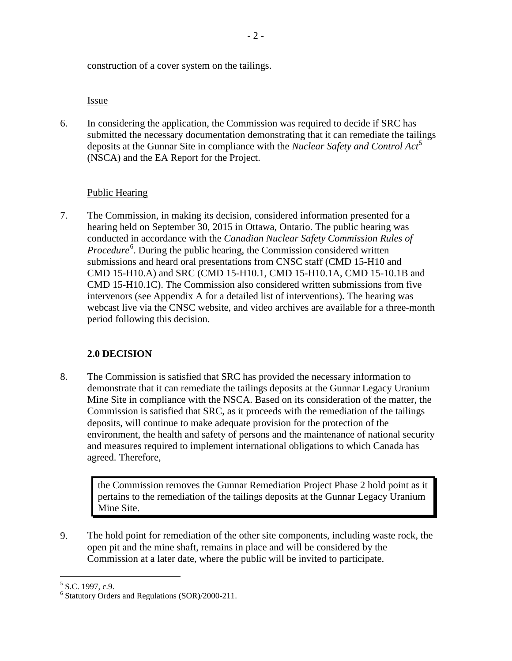construction of a cover system on the tailings.

Issue

6. In considering the application, the Commission was required to decide if SRC has submitted the necessary documentation demonstrating that it can remediate the tailings deposits at the Gunnar Site in compliance with the *Nuclear Safety and Control Act*<sup>[5](#page-5-1)</sup> (NSCA) and the EA Report for the Project.

#### Public Hearing

7. The Commission, in making its decision, considered information presented for a hearing held on September 30, 2015 in Ottawa, Ontario. The public hearing was conducted in accordance with the *Canadian Nuclear Safety Commission Rules of*  Procedure<sup>[6](#page-5-2)</sup>. During the public hearing, the Commission considered written submissions and heard oral presentations from CNSC staff (CMD 15-H10 and CMD 15-H10.A) and SRC (CMD 15-H10.1, CMD 15-H10.1A, CMD 15-10.1B and CMD 15-H10.1C). The Commission also considered written submissions from five intervenors (see Appendix A for a detailed list of interventions). The hearing was webcast live via the CNSC website, and video archives are available for a three-month period following this decision.

#### <span id="page-5-0"></span>**2.0 DECISION**

8. The Commission is satisfied that SRC has provided the necessary information to demonstrate that it can remediate the tailings deposits at the Gunnar Legacy Uranium Mine Site in compliance with the NSCA. Based on its consideration of the matter, the Commission is satisfied that SRC, as it proceeds with the remediation of the tailings deposits, will continue to make adequate provision for the protection of the environment, the health and safety of persons and the maintenance of national security and measures required to implement international obligations to which Canada has agreed. Therefore,

the Commission removes the Gunnar Remediation Project Phase 2 hold point as it pertains to the remediation of the tailings deposits at the Gunnar Legacy Uranium Mine Site.

9. The hold point for remediation of the other site components, including waste rock, the open pit and the mine shaft, remains in place and will be considered by the Commission at a later date, where the public will be invited to participate.

 $\overline{a}$  $<sup>5</sup>$  S.C. 1997, c.9.</sup>

<span id="page-5-2"></span><span id="page-5-1"></span><sup>&</sup>lt;sup>6</sup> Statutory Orders and Regulations (SOR)/2000-211.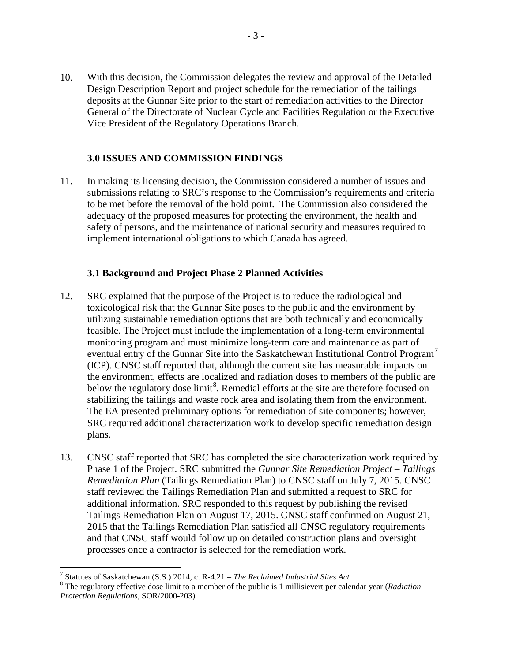10. With this decision, the Commission delegates the review and approval of the Detailed Design Description Report and project schedule for the remediation of the tailings deposits at the Gunnar Site prior to the start of remediation activities to the Director General of the Directorate of Nuclear Cycle and Facilities Regulation or the Executive Vice President of the Regulatory Operations Branch.

#### <span id="page-6-0"></span>**3.0 ISSUES AND COMMISSION FINDINGS**

11. In making its licensing decision, the Commission considered a number of issues and submissions relating to SRC's response to the Commission's requirements and criteria to be met before the removal of the hold point. The Commission also considered the adequacy of the proposed measures for protecting the environment, the health and safety of persons, and the maintenance of national security and measures required to implement international obligations to which Canada has agreed.

#### <span id="page-6-1"></span>**3.1 Background and Project Phase 2 Planned Activities**

- 12. SRC explained that the purpose of the Project is to reduce the radiological and toxicological risk that the Gunnar Site poses to the public and the environment by utilizing sustainable remediation options that are both technically and economically feasible. The Project must include the implementation of a long-term environmental monitoring program and must minimize long-term care and maintenance as part of eventual entry of the Gunnar Site into the Saskatchewan Institutional Control Program<sup>7</sup> (ICP). CNSC staff reported that, although the current site has measurable impacts on the environment, effects are localized and radiation doses to members of the public are below the regulatory dose limit<sup>[8](#page-6-3)</sup>. Remedial efforts at the site are therefore focused on stabilizing the tailings and waste rock area and isolating them from the environment. The EA presented preliminary options for remediation of site components; however, SRC required additional characterization work to develop specific remediation design plans.
- 13. CNSC staff reported that SRC has completed the site characterization work required by Phase 1 of the Project. SRC submitted the *Gunnar Site Remediation Project – Tailings Remediation Plan* (Tailings Remediation Plan) to CNSC staff on July 7, 2015. CNSC staff reviewed the Tailings Remediation Plan and submitted a request to SRC for additional information. SRC responded to this request by publishing the revised Tailings Remediation Plan on August 17, 2015. CNSC staff confirmed on August 21, 2015 that the Tailings Remediation Plan satisfied all CNSC regulatory requirements and that CNSC staff would follow up on detailed construction plans and oversight processes once a contractor is selected for the remediation work.

<sup>&</sup>lt;sup>7</sup> Statutes of Saskatchewan (S.S.) 2014, c. R-4.21 – The Reclaimed Industrial Sites Act

<span id="page-6-3"></span><span id="page-6-2"></span><sup>&</sup>lt;sup>8</sup> The regulatory effective dose limit to a member of the public is 1 millisievert per calendar year (*Radiation Protection Regulations*, SOR/2000-203)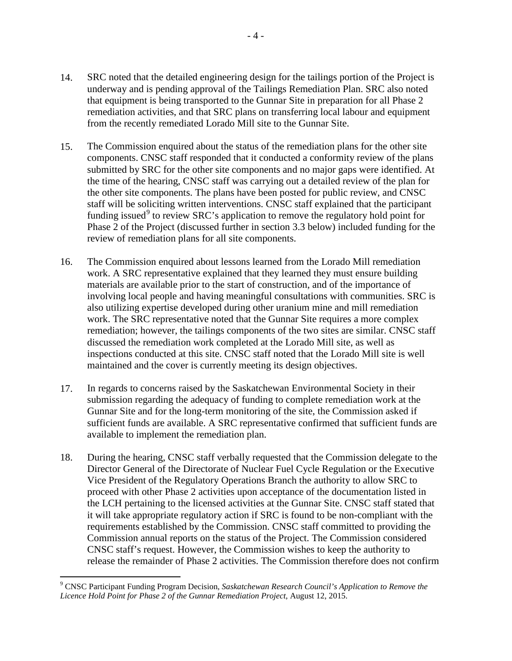- 14. SRC noted that the detailed engineering design for the tailings portion of the Project is underway and is pending approval of the Tailings Remediation Plan. SRC also noted that equipment is being transported to the Gunnar Site in preparation for all Phase 2 remediation activities, and that SRC plans on transferring local labour and equipment from the recently remediated Lorado Mill site to the Gunnar Site.
- 15. The Commission enquired about the status of the remediation plans for the other site components. CNSC staff responded that it conducted a conformity review of the plans submitted by SRC for the other site components and no major gaps were identified. At the time of the hearing, CNSC staff was carrying out a detailed review of the plan for the other site components. The plans have been posted for public review, and CNSC staff will be soliciting written interventions. CNSC staff explained that the participant funding issued<sup>[9](#page-7-0)</sup> to review SRC's application to remove the regulatory hold point for Phase 2 of the Project (discussed further in section 3.3 below) included funding for the review of remediation plans for all site components.
- 16. The Commission enquired about lessons learned from the Lorado Mill remediation work. A SRC representative explained that they learned they must ensure building materials are available prior to the start of construction, and of the importance of involving local people and having meaningful consultations with communities. SRC is also utilizing expertise developed during other uranium mine and mill remediation work. The SRC representative noted that the Gunnar Site requires a more complex remediation; however, the tailings components of the two sites are similar. CNSC staff discussed the remediation work completed at the Lorado Mill site, as well as inspections conducted at this site. CNSC staff noted that the Lorado Mill site is well maintained and the cover is currently meeting its design objectives.
- 17. In regards to concerns raised by the Saskatchewan Environmental Society in their submission regarding the adequacy of funding to complete remediation work at the Gunnar Site and for the long-term monitoring of the site, the Commission asked if sufficient funds are available. A SRC representative confirmed that sufficient funds are available to implement the remediation plan.
- 18. During the hearing, CNSC staff verbally requested that the Commission delegate to the Director General of the Directorate of Nuclear Fuel Cycle Regulation or the Executive Vice President of the Regulatory Operations Branch the authority to allow SRC to proceed with other Phase 2 activities upon acceptance of the documentation listed in the LCH pertaining to the licensed activities at the Gunnar Site. CNSC staff stated that it will take appropriate regulatory action if SRC is found to be non-compliant with the requirements established by the Commission. CNSC staff committed to providing the Commission annual reports on the status of the Project. The Commission considered CNSC staff's request. However, the Commission wishes to keep the authority to release the remainder of Phase 2 activities. The Commission therefore does not confirm

-

<span id="page-7-0"></span><sup>9</sup> CNSC Participant Funding Program Decision, *Saskatchewan Research Council's Application to Remove the Licence Hold Point for Phase 2 of the Gunnar Remediation Project*, August 12, 2015.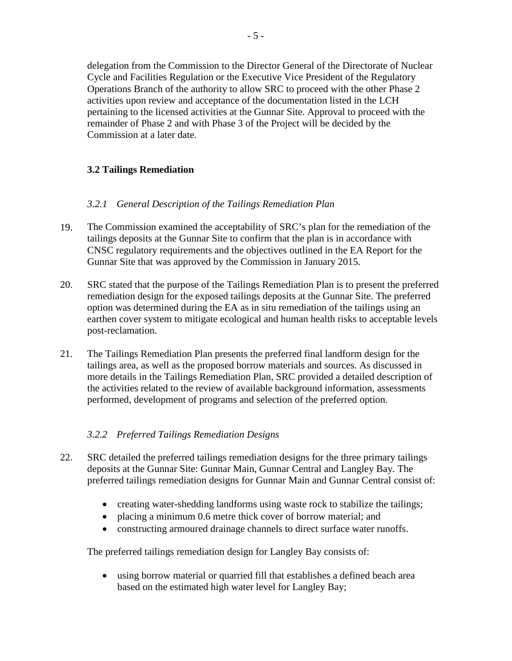delegation from the Commission to the Director General of the Directorate of Nuclear Cycle and Facilities Regulation or the Executive Vice President of the Regulatory Operations Branch of the authority to allow SRC to proceed with the other Phase 2 activities upon review and acceptance of the documentation listed in the LCH pertaining to the licensed activities at the Gunnar Site. Approval to proceed with the remainder of Phase 2 and with Phase 3 of the Project will be decided by the Commission at a later date.

#### <span id="page-8-0"></span>**3.2 Tailings Remediation**

#### <span id="page-8-1"></span>*3.2.1 General Description of the Tailings Remediation Plan*

- 19. The Commission examined the acceptability of SRC's plan for the remediation of the tailings deposits at the Gunnar Site to confirm that the plan is in accordance with CNSC regulatory requirements and the objectives outlined in the EA Report for the Gunnar Site that was approved by the Commission in January 2015.
- 20. SRC stated that the purpose of the Tailings Remediation Plan is to present the preferred remediation design for the exposed tailings deposits at the Gunnar Site. The preferred option was determined during the EA as in situ remediation of the tailings using an earthen cover system to mitigate ecological and human health risks to acceptable levels post-reclamation.
- 21. The Tailings Remediation Plan presents the preferred final landform design for the tailings area, as well as the proposed borrow materials and sources. As discussed in more details in the Tailings Remediation Plan, SRC provided a detailed description of the activities related to the review of available background information, assessments performed, development of programs and selection of the preferred option.

#### <span id="page-8-2"></span>*3.2.2 Preferred Tailings Remediation Designs*

- 22. SRC detailed the preferred tailings remediation designs for the three primary tailings deposits at the Gunnar Site: Gunnar Main, Gunnar Central and Langley Bay. The preferred tailings remediation designs for Gunnar Main and Gunnar Central consist of:
	- creating water-shedding landforms using waste rock to stabilize the tailings;
	- placing a minimum 0.6 metre thick cover of borrow material; and
	- constructing armoured drainage channels to direct surface water runoffs.

The preferred tailings remediation design for Langley Bay consists of:

• using borrow material or quarried fill that establishes a defined beach area based on the estimated high water level for Langley Bay;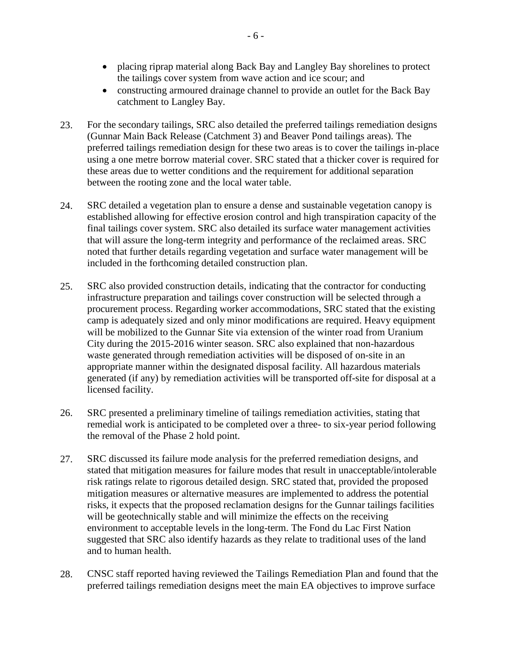- placing riprap material along Back Bay and Langley Bay shorelines to protect the tailings cover system from wave action and ice scour; and
- constructing armoured drainage channel to provide an outlet for the Back Bay catchment to Langley Bay.
- 23. For the secondary tailings, SRC also detailed the preferred tailings remediation designs (Gunnar Main Back Release (Catchment 3) and Beaver Pond tailings areas). The preferred tailings remediation design for these two areas is to cover the tailings in-place using a one metre borrow material cover. SRC stated that a thicker cover is required for these areas due to wetter conditions and the requirement for additional separation between the rooting zone and the local water table.
- 24. SRC detailed a vegetation plan to ensure a dense and sustainable vegetation canopy is established allowing for effective erosion control and high transpiration capacity of the final tailings cover system. SRC also detailed its surface water management activities that will assure the long-term integrity and performance of the reclaimed areas. SRC noted that further details regarding vegetation and surface water management will be included in the forthcoming detailed construction plan.
- 25. SRC also provided construction details, indicating that the contractor for conducting infrastructure preparation and tailings cover construction will be selected through a procurement process. Regarding worker accommodations, SRC stated that the existing camp is adequately sized and only minor modifications are required. Heavy equipment will be mobilized to the Gunnar Site via extension of the winter road from Uranium City during the 2015-2016 winter season. SRC also explained that non-hazardous waste generated through remediation activities will be disposed of on-site in an appropriate manner within the designated disposal facility. All hazardous materials generated (if any) by remediation activities will be transported off-site for disposal at a licensed facility.
- 26. SRC presented a preliminary timeline of tailings remediation activities, stating that remedial work is anticipated to be completed over a three- to six-year period following the removal of the Phase 2 hold point.
- 27. SRC discussed its failure mode analysis for the preferred remediation designs, and stated that mitigation measures for failure modes that result in unacceptable/intolerable risk ratings relate to rigorous detailed design. SRC stated that, provided the proposed mitigation measures or alternative measures are implemented to address the potential risks, it expects that the proposed reclamation designs for the Gunnar tailings facilities will be geotechnically stable and will minimize the effects on the receiving environment to acceptable levels in the long-term. The Fond du Lac First Nation suggested that SRC also identify hazards as they relate to traditional uses of the land and to human health.
- 28. CNSC staff reported having reviewed the Tailings Remediation Plan and found that the preferred tailings remediation designs meet the main EA objectives to improve surface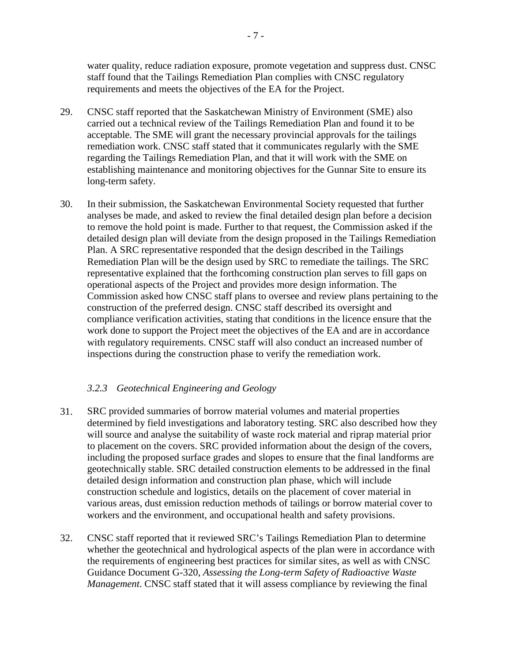water quality, reduce radiation exposure, promote vegetation and suppress dust. CNSC staff found that the Tailings Remediation Plan complies with CNSC regulatory requirements and meets the objectives of the EA for the Project.

- 29. CNSC staff reported that the Saskatchewan Ministry of Environment (SME) also carried out a technical review of the Tailings Remediation Plan and found it to be acceptable. The SME will grant the necessary provincial approvals for the tailings remediation work. CNSC staff stated that it communicates regularly with the SME regarding the Tailings Remediation Plan, and that it will work with the SME on establishing maintenance and monitoring objectives for the Gunnar Site to ensure its long-term safety.
- 30. In their submission, the Saskatchewan Environmental Society requested that further analyses be made, and asked to review the final detailed design plan before a decision to remove the hold point is made. Further to that request, the Commission asked if the detailed design plan will deviate from the design proposed in the Tailings Remediation Plan. A SRC representative responded that the design described in the Tailings Remediation Plan will be the design used by SRC to remediate the tailings. The SRC representative explained that the forthcoming construction plan serves to fill gaps on operational aspects of the Project and provides more design information. The Commission asked how CNSC staff plans to oversee and review plans pertaining to the construction of the preferred design. CNSC staff described its oversight and compliance verification activities, stating that conditions in the licence ensure that the work done to support the Project meet the objectives of the EA and are in accordance with regulatory requirements. CNSC staff will also conduct an increased number of inspections during the construction phase to verify the remediation work.

#### <span id="page-10-0"></span>*3.2.3 Geotechnical Engineering and Geology*

- 31. SRC provided summaries of borrow material volumes and material properties determined by field investigations and laboratory testing. SRC also described how they will source and analyse the suitability of waste rock material and riprap material prior to placement on the covers. SRC provided information about the design of the covers, including the proposed surface grades and slopes to ensure that the final landforms are geotechnically stable. SRC detailed construction elements to be addressed in the final detailed design information and construction plan phase, which will include construction schedule and logistics, details on the placement of cover material in various areas, dust emission reduction methods of tailings or borrow material cover to workers and the environment, and occupational health and safety provisions.
- 32. CNSC staff reported that it reviewed SRC's Tailings Remediation Plan to determine whether the geotechnical and hydrological aspects of the plan were in accordance with the requirements of engineering best practices for similar sites, as well as with CNSC Guidance Document G-320, *Assessing the Long-term Safety of Radioactive Waste Management*. CNSC staff stated that it will assess compliance by reviewing the final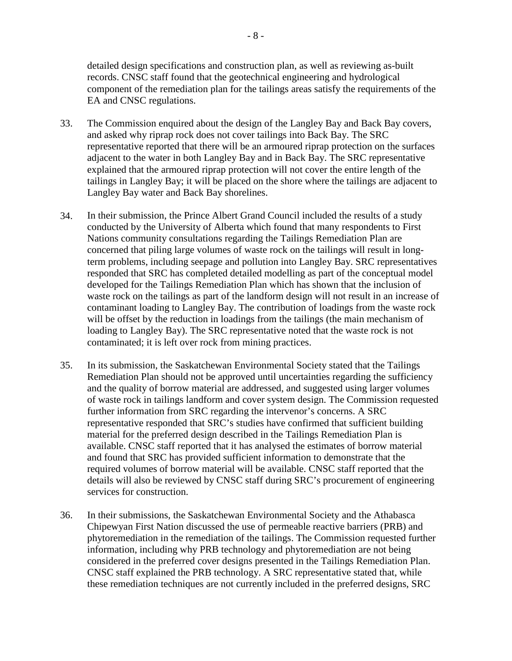detailed design specifications and construction plan, as well as reviewing as-built records. CNSC staff found that the geotechnical engineering and hydrological component of the remediation plan for the tailings areas satisfy the requirements of the EA and CNSC regulations.

- 33. The Commission enquired about the design of the Langley Bay and Back Bay covers, and asked why riprap rock does not cover tailings into Back Bay. The SRC representative reported that there will be an armoured riprap protection on the surfaces adjacent to the water in both Langley Bay and in Back Bay. The SRC representative explained that the armoured riprap protection will not cover the entire length of the tailings in Langley Bay; it will be placed on the shore where the tailings are adjacent to Langley Bay water and Back Bay shorelines.
- 34. In their submission, the Prince Albert Grand Council included the results of a study conducted by the University of Alberta which found that many respondents to First Nations community consultations regarding the Tailings Remediation Plan are concerned that piling large volumes of waste rock on the tailings will result in longterm problems, including seepage and pollution into Langley Bay. SRC representatives responded that SRC has completed detailed modelling as part of the conceptual model developed for the Tailings Remediation Plan which has shown that the inclusion of waste rock on the tailings as part of the landform design will not result in an increase of contaminant loading to Langley Bay. The contribution of loadings from the waste rock will be offset by the reduction in loadings from the tailings (the main mechanism of loading to Langley Bay). The SRC representative noted that the waste rock is not contaminated; it is left over rock from mining practices.
- 35. In its submission, the Saskatchewan Environmental Society stated that the Tailings Remediation Plan should not be approved until uncertainties regarding the sufficiency and the quality of borrow material are addressed, and suggested using larger volumes of waste rock in tailings landform and cover system design. The Commission requested further information from SRC regarding the intervenor's concerns. A SRC representative responded that SRC's studies have confirmed that sufficient building material for the preferred design described in the Tailings Remediation Plan is available. CNSC staff reported that it has analysed the estimates of borrow material and found that SRC has provided sufficient information to demonstrate that the required volumes of borrow material will be available. CNSC staff reported that the details will also be reviewed by CNSC staff during SRC's procurement of engineering services for construction.
- 36. In their submissions, the Saskatchewan Environmental Society and the Athabasca Chipewyan First Nation discussed the use of permeable reactive barriers (PRB) and phytoremediation in the remediation of the tailings. The Commission requested further information, including why PRB technology and phytoremediation are not being considered in the preferred cover designs presented in the Tailings Remediation Plan. CNSC staff explained the PRB technology. A SRC representative stated that, while these remediation techniques are not currently included in the preferred designs, SRC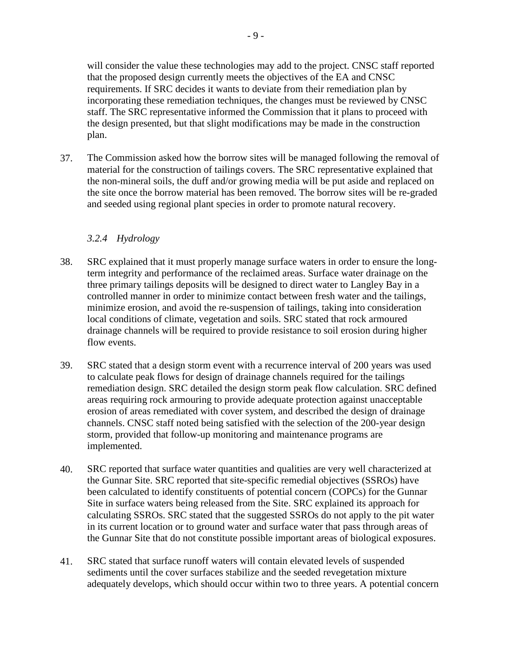will consider the value these technologies may add to the project. CNSC staff reported that the proposed design currently meets the objectives of the EA and CNSC requirements. If SRC decides it wants to deviate from their remediation plan by incorporating these remediation techniques, the changes must be reviewed by CNSC staff. The SRC representative informed the Commission that it plans to proceed with the design presented, but that slight modifications may be made in the construction plan.

37. The Commission asked how the borrow sites will be managed following the removal of material for the construction of tailings covers. The SRC representative explained that the non-mineral soils, the duff and/or growing media will be put aside and replaced on the site once the borrow material has been removed. The borrow sites will be re-graded and seeded using regional plant species in order to promote natural recovery.

#### <span id="page-12-0"></span>*3.2.4 Hydrology*

- 38. SRC explained that it must properly manage surface waters in order to ensure the longterm integrity and performance of the reclaimed areas. Surface water drainage on the three primary tailings deposits will be designed to direct water to Langley Bay in a controlled manner in order to minimize contact between fresh water and the tailings, minimize erosion, and avoid the re-suspension of tailings, taking into consideration local conditions of climate, vegetation and soils. SRC stated that rock armoured drainage channels will be required to provide resistance to soil erosion during higher flow events.
- 39. SRC stated that a design storm event with a recurrence interval of 200 years was used to calculate peak flows for design of drainage channels required for the tailings remediation design. SRC detailed the design storm peak flow calculation. SRC defined areas requiring rock armouring to provide adequate protection against unacceptable erosion of areas remediated with cover system, and described the design of drainage channels. CNSC staff noted being satisfied with the selection of the 200-year design storm, provided that follow-up monitoring and maintenance programs are implemented.
- 40. SRC reported that surface water quantities and qualities are very well characterized at the Gunnar Site. SRC reported that site-specific remedial objectives (SSROs) have been calculated to identify constituents of potential concern (COPCs) for the Gunnar Site in surface waters being released from the Site. SRC explained its approach for calculating SSROs. SRC stated that the suggested SSROs do not apply to the pit water in its current location or to ground water and surface water that pass through areas of the Gunnar Site that do not constitute possible important areas of biological exposures.
- 41. SRC stated that surface runoff waters will contain elevated levels of suspended sediments until the cover surfaces stabilize and the seeded revegetation mixture adequately develops, which should occur within two to three years. A potential concern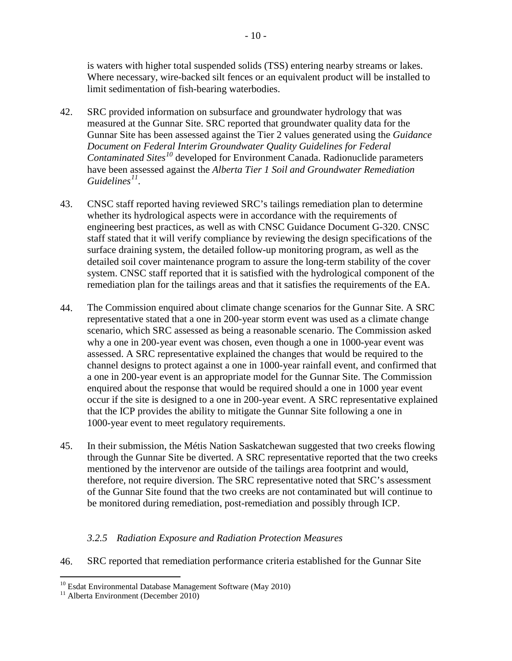is waters with higher total suspended solids (TSS) entering nearby streams or lakes. Where necessary, wire-backed silt fences or an equivalent product will be installed to limit sedimentation of fish-bearing waterbodies.

- 42. SRC provided information on subsurface and groundwater hydrology that was measured at the Gunnar Site. SRC reported that groundwater quality data for the Gunnar Site has been assessed against the Tier 2 values generated using the *Guidance Document on Federal Interim Groundwater Quality Guidelines for Federal Contaminated Sites[10](#page-13-1)* developed for Environment Canada. Radionuclide parameters have been assessed against the *Alberta Tier 1 Soil and Groundwater Remediation Guidelines[11](#page-13-2)* .
- 43. CNSC staff reported having reviewed SRC's tailings remediation plan to determine whether its hydrological aspects were in accordance with the requirements of engineering best practices, as well as with CNSC Guidance Document G-320. CNSC staff stated that it will verify compliance by reviewing the design specifications of the surface draining system, the detailed follow-up monitoring program, as well as the detailed soil cover maintenance program to assure the long-term stability of the cover system. CNSC staff reported that it is satisfied with the hydrological component of the remediation plan for the tailings areas and that it satisfies the requirements of the EA.
- 44. The Commission enquired about climate change scenarios for the Gunnar Site. A SRC representative stated that a one in 200-year storm event was used as a climate change scenario, which SRC assessed as being a reasonable scenario. The Commission asked why a one in 200-year event was chosen, even though a one in 1000-year event was assessed. A SRC representative explained the changes that would be required to the channel designs to protect against a one in 1000-year rainfall event, and confirmed that a one in 200-year event is an appropriate model for the Gunnar Site. The Commission enquired about the response that would be required should a one in 1000 year event occur if the site is designed to a one in 200-year event. A SRC representative explained that the ICP provides the ability to mitigate the Gunnar Site following a one in 1000-year event to meet regulatory requirements.
- 45. In their submission, the Métis Nation Saskatchewan suggested that two creeks flowing through the Gunnar Site be diverted. A SRC representative reported that the two creeks mentioned by the intervenor are outside of the tailings area footprint and would, therefore, not require diversion. The SRC representative noted that SRC's assessment of the Gunnar Site found that the two creeks are not contaminated but will continue to be monitored during remediation, post-remediation and possibly through ICP.

#### <span id="page-13-0"></span>*3.2.5 Radiation Exposure and Radiation Protection Measures*

46. SRC reported that remediation performance criteria established for the Gunnar Site

<span id="page-13-1"></span> $\overline{a}$ <sup>10</sup> Esdat Environmental Database Management Software (May 2010)  $11$  Alberta Environment (December 2010)

<span id="page-13-2"></span>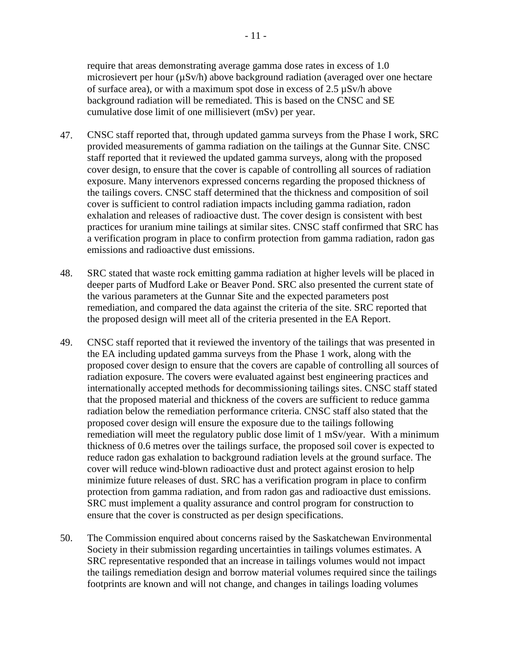require that areas demonstrating average gamma dose rates in excess of 1.0 microsievert per hour ( $\mu$ Sv/h) above background radiation (averaged over one hectare of surface area), or with a maximum spot dose in excess of 2.5 µSv/h above background radiation will be remediated. This is based on the CNSC and SE cumulative dose limit of one millisievert (mSv) per year.

- 47. CNSC staff reported that, through updated gamma surveys from the Phase I work, SRC provided measurements of gamma radiation on the tailings at the Gunnar Site. CNSC staff reported that it reviewed the updated gamma surveys, along with the proposed cover design, to ensure that the cover is capable of controlling all sources of radiation exposure. Many intervenors expressed concerns regarding the proposed thickness of the tailings covers. CNSC staff determined that the thickness and composition of soil cover is sufficient to control radiation impacts including gamma radiation, radon exhalation and releases of radioactive dust. The cover design is consistent with best practices for uranium mine tailings at similar sites. CNSC staff confirmed that SRC has a verification program in place to confirm protection from gamma radiation, radon gas emissions and radioactive dust emissions.
- 48. SRC stated that waste rock emitting gamma radiation at higher levels will be placed in deeper parts of Mudford Lake or Beaver Pond. SRC also presented the current state of the various parameters at the Gunnar Site and the expected parameters post remediation, and compared the data against the criteria of the site. SRC reported that the proposed design will meet all of the criteria presented in the EA Report.
- 49. CNSC staff reported that it reviewed the inventory of the tailings that was presented in the EA including updated gamma surveys from the Phase 1 work, along with the proposed cover design to ensure that the covers are capable of controlling all sources of radiation exposure. The covers were evaluated against best engineering practices and internationally accepted methods for decommissioning tailings sites. CNSC staff stated that the proposed material and thickness of the covers are sufficient to reduce gamma radiation below the remediation performance criteria. CNSC staff also stated that the proposed cover design will ensure the exposure due to the tailings following remediation will meet the regulatory public dose limit of 1 mSv/year. With a minimum thickness of 0.6 metres over the tailings surface, the proposed soil cover is expected to reduce radon gas exhalation to background radiation levels at the ground surface. The cover will reduce wind-blown radioactive dust and protect against erosion to help minimize future releases of dust. SRC has a verification program in place to confirm protection from gamma radiation, and from radon gas and radioactive dust emissions. SRC must implement a quality assurance and control program for construction to ensure that the cover is constructed as per design specifications.
- 50. The Commission enquired about concerns raised by the Saskatchewan Environmental Society in their submission regarding uncertainties in tailings volumes estimates. A SRC representative responded that an increase in tailings volumes would not impact the tailings remediation design and borrow material volumes required since the tailings footprints are known and will not change, and changes in tailings loading volumes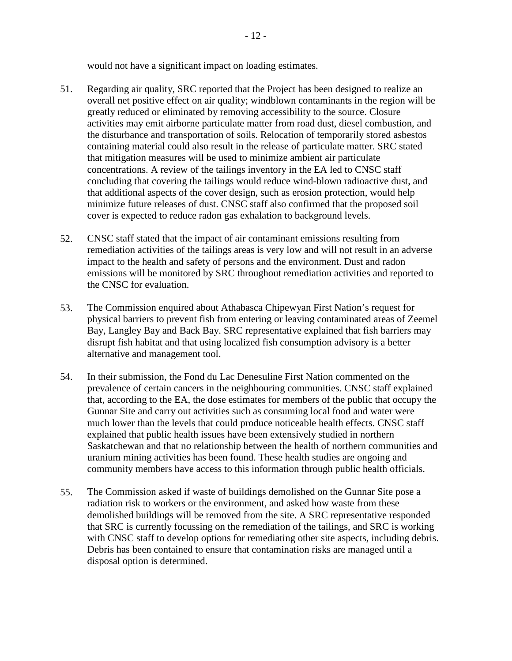would not have a significant impact on loading estimates.

- 51. Regarding air quality, SRC reported that the Project has been designed to realize an overall net positive effect on air quality; windblown contaminants in the region will be greatly reduced or eliminated by removing accessibility to the source. Closure activities may emit airborne particulate matter from road dust, diesel combustion, and the disturbance and transportation of soils. Relocation of temporarily stored asbestos containing material could also result in the release of particulate matter. SRC stated that mitigation measures will be used to minimize ambient air particulate concentrations. A review of the tailings inventory in the EA led to CNSC staff concluding that covering the tailings would reduce wind-blown radioactive dust, and that additional aspects of the cover design, such as erosion protection, would help minimize future releases of dust. CNSC staff also confirmed that the proposed soil cover is expected to reduce radon gas exhalation to background levels.
- 52. CNSC staff stated that the impact of air contaminant emissions resulting from remediation activities of the tailings areas is very low and will not result in an adverse impact to the health and safety of persons and the environment. Dust and radon emissions will be monitored by SRC throughout remediation activities and reported to the CNSC for evaluation.
- 53. The Commission enquired about Athabasca Chipewyan First Nation's request for physical barriers to prevent fish from entering or leaving contaminated areas of Zeemel Bay, Langley Bay and Back Bay. SRC representative explained that fish barriers may disrupt fish habitat and that using localized fish consumption advisory is a better alternative and management tool.
- 54. In their submission, the Fond du Lac Denesuline First Nation commented on the prevalence of certain cancers in the neighbouring communities. CNSC staff explained that, according to the EA, the dose estimates for members of the public that occupy the Gunnar Site and carry out activities such as consuming local food and water were much lower than the levels that could produce noticeable health effects. CNSC staff explained that public health issues have been extensively studied in northern Saskatchewan and that no relationship between the health of northern communities and uranium mining activities has been found. These health studies are ongoing and community members have access to this information through public health officials.
- 55. The Commission asked if waste of buildings demolished on the Gunnar Site pose a radiation risk to workers or the environment, and asked how waste from these demolished buildings will be removed from the site. A SRC representative responded that SRC is currently focussing on the remediation of the tailings, and SRC is working with CNSC staff to develop options for remediating other site aspects, including debris. Debris has been contained to ensure that contamination risks are managed until a disposal option is determined.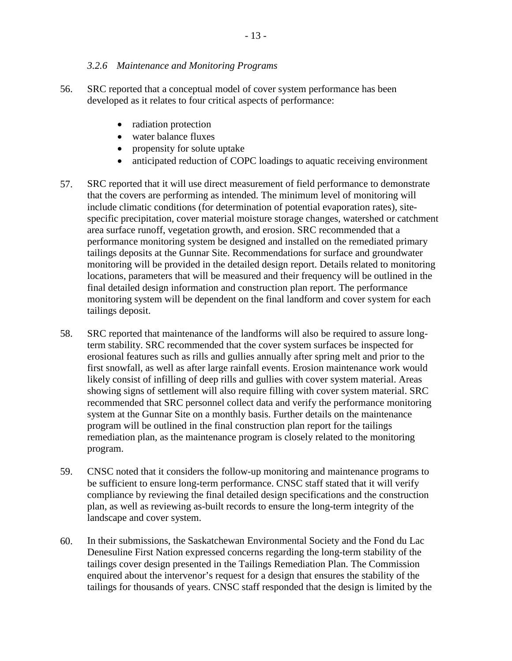#### <span id="page-16-0"></span>*3.2.6 Maintenance and Monitoring Programs*

- 56. SRC reported that a conceptual model of cover system performance has been developed as it relates to four critical aspects of performance:
	- radiation protection
	- water balance fluxes
	- propensity for solute uptake
	- anticipated reduction of COPC loadings to aquatic receiving environment
- 57. SRC reported that it will use direct measurement of field performance to demonstrate that the covers are performing as intended. The minimum level of monitoring will include climatic conditions (for determination of potential evaporation rates), sitespecific precipitation, cover material moisture storage changes, watershed or catchment area surface runoff, vegetation growth, and erosion. SRC recommended that a performance monitoring system be designed and installed on the remediated primary tailings deposits at the Gunnar Site. Recommendations for surface and groundwater monitoring will be provided in the detailed design report. Details related to monitoring locations, parameters that will be measured and their frequency will be outlined in the final detailed design information and construction plan report. The performance monitoring system will be dependent on the final landform and cover system for each tailings deposit.
- 58. SRC reported that maintenance of the landforms will also be required to assure longterm stability. SRC recommended that the cover system surfaces be inspected for erosional features such as rills and gullies annually after spring melt and prior to the first snowfall, as well as after large rainfall events. Erosion maintenance work would likely consist of infilling of deep rills and gullies with cover system material. Areas showing signs of settlement will also require filling with cover system material. SRC recommended that SRC personnel collect data and verify the performance monitoring system at the Gunnar Site on a monthly basis. Further details on the maintenance program will be outlined in the final construction plan report for the tailings remediation plan, as the maintenance program is closely related to the monitoring program.
- 59. CNSC noted that it considers the follow-up monitoring and maintenance programs to be sufficient to ensure long-term performance. CNSC staff stated that it will verify compliance by reviewing the final detailed design specifications and the construction plan, as well as reviewing as-built records to ensure the long-term integrity of the landscape and cover system.
- 60. In their submissions, the Saskatchewan Environmental Society and the Fond du Lac Denesuline First Nation expressed concerns regarding the long-term stability of the tailings cover design presented in the Tailings Remediation Plan. The Commission enquired about the intervenor's request for a design that ensures the stability of the tailings for thousands of years. CNSC staff responded that the design is limited by the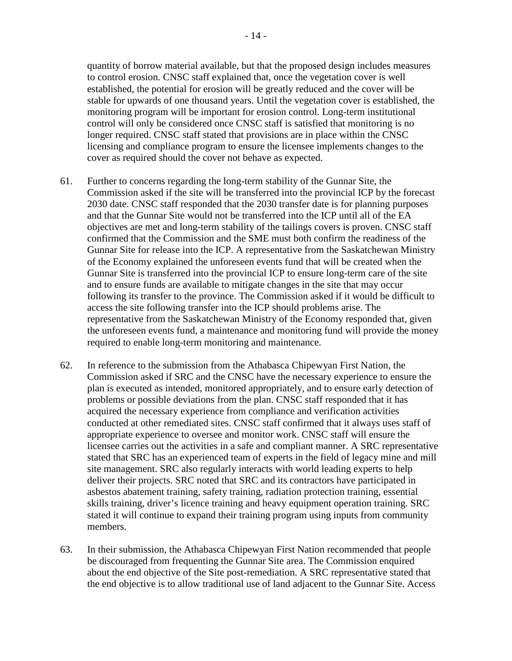quantity of borrow material available, but that the proposed design includes measures to control erosion. CNSC staff explained that, once the vegetation cover is well established, the potential for erosion will be greatly reduced and the cover will be stable for upwards of one thousand years. Until the vegetation cover is established, the monitoring program will be important for erosion control. Long-term institutional control will only be considered once CNSC staff is satisfied that monitoring is no longer required. CNSC staff stated that provisions are in place within the CNSC licensing and compliance program to ensure the licensee implements changes to the cover as required should the cover not behave as expected.

- 61. Further to concerns regarding the long-term stability of the Gunnar Site, the Commission asked if the site will be transferred into the provincial ICP by the forecast 2030 date. CNSC staff responded that the 2030 transfer date is for planning purposes and that the Gunnar Site would not be transferred into the ICP until all of the EA objectives are met and long-term stability of the tailings covers is proven. CNSC staff confirmed that the Commission and the SME must both confirm the readiness of the Gunnar Site for release into the ICP. A representative from the Saskatchewan Ministry of the Economy explained the unforeseen events fund that will be created when the Gunnar Site is transferred into the provincial ICP to ensure long-term care of the site and to ensure funds are available to mitigate changes in the site that may occur following its transfer to the province. The Commission asked if it would be difficult to access the site following transfer into the ICP should problems arise. The representative from the Saskatchewan Ministry of the Economy responded that, given the unforeseen events fund, a maintenance and monitoring fund will provide the money required to enable long-term monitoring and maintenance.
- 62. In reference to the submission from the Athabasca Chipewyan First Nation, the Commission asked if SRC and the CNSC have the necessary experience to ensure the plan is executed as intended, monitored appropriately, and to ensure early detection of problems or possible deviations from the plan. CNSC staff responded that it has acquired the necessary experience from compliance and verification activities conducted at other remediated sites. CNSC staff confirmed that it always uses staff of appropriate experience to oversee and monitor work. CNSC staff will ensure the licensee carries out the activities in a safe and compliant manner. A SRC representative stated that SRC has an experienced team of experts in the field of legacy mine and mill site management. SRC also regularly interacts with world leading experts to help deliver their projects. SRC noted that SRC and its contractors have participated in asbestos abatement training, safety training, radiation protection training, essential skills training, driver's licence training and heavy equipment operation training. SRC stated it will continue to expand their training program using inputs from community members.
- 63. In their submission, the Athabasca Chipewyan First Nation recommended that people be discouraged from frequenting the Gunnar Site area. The Commission enquired about the end objective of the Site post-remediation. A SRC representative stated that the end objective is to allow traditional use of land adjacent to the Gunnar Site. Access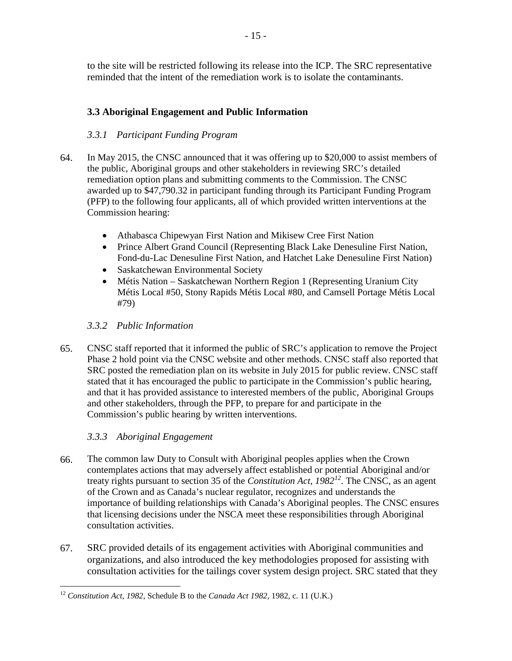to the site will be restricted following its release into the ICP. The SRC representative reminded that the intent of the remediation work is to isolate the contaminants.

#### <span id="page-18-0"></span>**3.3 Aboriginal Engagement and Public Information**

#### <span id="page-18-1"></span>*3.3.1 Participant Funding Program*

- 64. In May 2015, the CNSC announced that it was offering up to \$20,000 to assist members of the public, Aboriginal groups and other stakeholders in reviewing SRC's detailed remediation option plans and submitting comments to the Commission. The CNSC awarded up to \$47,790.32 in participant funding through its Participant Funding Program (PFP) to the following four applicants, all of which provided written interventions at the Commission hearing:
	- • Athabasca Chipewyan First Nation and Mikisew Cree First Nation
	- Prince Albert Grand Council (Representing Black Lake Denesuline First Nation, Fond-du-Lac Denesuline First Nation, and Hatchet Lake Denesuline First Nation)
	- Saskatchewan Environmental Society
	- Métis Nation Saskatchewan Northern Region 1 (Representing Uranium City Métis Local #50, Stony Rapids Métis Local #80, and Camsell Portage Métis Local #79)

#### <span id="page-18-2"></span>*3.3.2 Public Information*

65. CNSC staff reported that it informed the public of SRC's application to remove the Project Phase 2 hold point via the CNSC website and other methods. CNSC staff also reported that SRC posted the remediation plan on its website in July 2015 for public review. CNSC staff stated that it has encouraged the public to participate in the Commission's public hearing, and that it has provided assistance to interested members of the public, Aboriginal Groups and other stakeholders, through the PFP, to prepare for and participate in the Commission's public hearing by written interventions.

#### <span id="page-18-3"></span>*3.3.3 Aboriginal Engagement*

- 66. The common law Duty to Consult with Aboriginal peoples applies when the Crown contemplates actions that may adversely affect established or potential Aboriginal and/or treaty rights pursuant to section 35 of the *Constitution Act, 1982[12](#page-18-4)*. The CNSC, as an agent of the Crown and as Canada's nuclear regulator, recognizes and understands the importance of building relationships with Canada's Aboriginal peoples. The CNSC ensures that licensing decisions under the NSCA meet these responsibilities through Aboriginal consultation activities.
- 67. SRC provided details of its engagement activities with Aboriginal communities and organizations, and also introduced the key methodologies proposed for assisting with consultation activities for the tailings cover system design project. SRC stated that they

<span id="page-18-4"></span> $\overline{a}$ <sup>12</sup>*Constitution Act, 1982*, Schedule B to the *Canada Act 1982*, 1982, c. 11 (U.K.)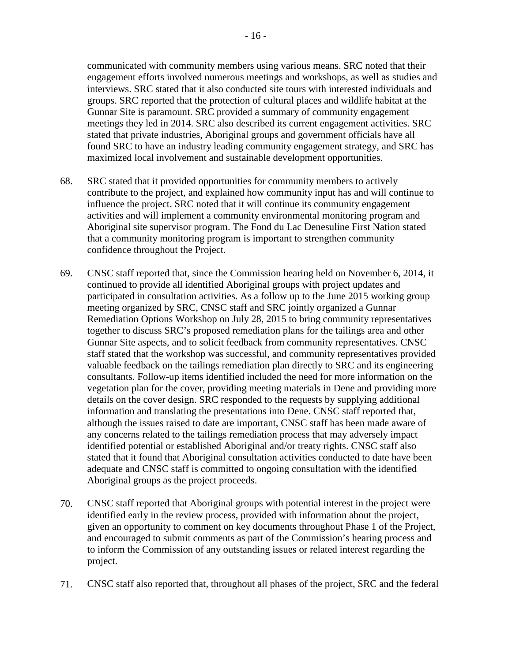communicated with community members using various means. SRC noted that their engagement efforts involved numerous meetings and workshops, as well as studies and interviews. SRC stated that it also conducted site tours with interested individuals and groups. SRC reported that the protection of cultural places and wildlife habitat at the Gunnar Site is paramount. SRC provided a summary of community engagement meetings they led in 2014. SRC also described its current engagement activities. SRC stated that private industries, Aboriginal groups and government officials have all found SRC to have an industry leading community engagement strategy, and SRC has maximized local involvement and sustainable development opportunities.

- 68. SRC stated that it provided opportunities for community members to actively contribute to the project, and explained how community input has and will continue to influence the project. SRC noted that it will continue its community engagement activities and will implement a community environmental monitoring program and Aboriginal site supervisor program. The Fond du Lac Denesuline First Nation stated that a community monitoring program is important to strengthen community confidence throughout the Project.
- 69. CNSC staff reported that, since the Commission hearing held on November 6, 2014, it continued to provide all identified Aboriginal groups with project updates and participated in consultation activities. As a follow up to the June 2015 working group meeting organized by SRC, CNSC staff and SRC jointly organized a Gunnar Remediation Options Workshop on July 28, 2015 to bring community representatives together to discuss SRC's proposed remediation plans for the tailings area and other Gunnar Site aspects, and to solicit feedback from community representatives. CNSC staff stated that the workshop was successful, and community representatives provided valuable feedback on the tailings remediation plan directly to SRC and its engineering consultants. Follow-up items identified included the need for more information on the vegetation plan for the cover, providing meeting materials in Dene and providing more details on the cover design. SRC responded to the requests by supplying additional information and translating the presentations into Dene. CNSC staff reported that, although the issues raised to date are important, CNSC staff has been made aware of any concerns related to the tailings remediation process that may adversely impact identified potential or established Aboriginal and/or treaty rights. CNSC staff also stated that it found that Aboriginal consultation activities conducted to date have been adequate and CNSC staff is committed to ongoing consultation with the identified Aboriginal groups as the project proceeds.
- 70. CNSC staff reported that Aboriginal groups with potential interest in the project were identified early in the review process, provided with information about the project, given an opportunity to comment on key documents throughout Phase 1 of the Project, and encouraged to submit comments as part of the Commission's hearing process and to inform the Commission of any outstanding issues or related interest regarding the project.
- 71. CNSC staff also reported that, throughout all phases of the project, SRC and the federal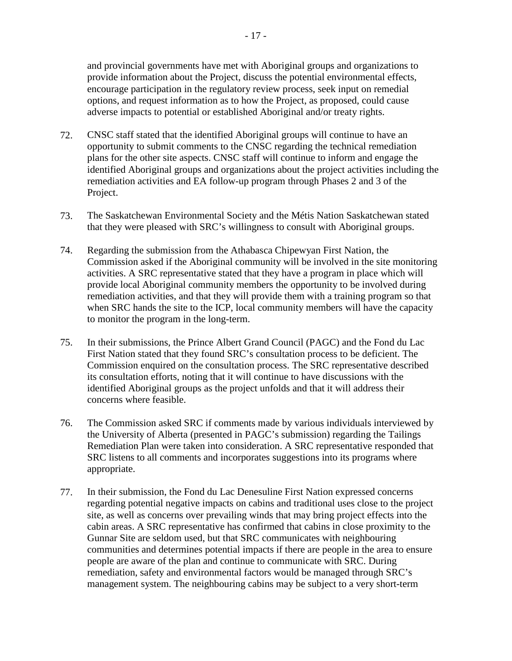and provincial governments have met with Aboriginal groups and organizations to provide information about the Project, discuss the potential environmental effects, encourage participation in the regulatory review process, seek input on remedial options, and request information as to how the Project, as proposed, could cause adverse impacts to potential or established Aboriginal and/or treaty rights.

- 72. CNSC staff stated that the identified Aboriginal groups will continue to have an opportunity to submit comments to the CNSC regarding the technical remediation plans for the other site aspects. CNSC staff will continue to inform and engage the identified Aboriginal groups and organizations about the project activities including the remediation activities and EA follow-up program through Phases 2 and 3 of the Project.
- 73. The Saskatchewan Environmental Society and the Métis Nation Saskatchewan stated that they were pleased with SRC's willingness to consult with Aboriginal groups.
- 74. Regarding the submission from the Athabasca Chipewyan First Nation, the Commission asked if the Aboriginal community will be involved in the site monitoring activities. A SRC representative stated that they have a program in place which will provide local Aboriginal community members the opportunity to be involved during remediation activities, and that they will provide them with a training program so that when SRC hands the site to the ICP, local community members will have the capacity to monitor the program in the long-term.
- 75. In their submissions, the Prince Albert Grand Council (PAGC) and the Fond du Lac First Nation stated that they found SRC's consultation process to be deficient. The Commission enquired on the consultation process. The SRC representative described its consultation efforts, noting that it will continue to have discussions with the identified Aboriginal groups as the project unfolds and that it will address their concerns where feasible.
- 76. The Commission asked SRC if comments made by various individuals interviewed by the University of Alberta (presented in PAGC's submission) regarding the Tailings Remediation Plan were taken into consideration. A SRC representative responded that SRC listens to all comments and incorporates suggestions into its programs where appropriate.
- 77. In their submission, the Fond du Lac Denesuline First Nation expressed concerns regarding potential negative impacts on cabins and traditional uses close to the project site, as well as concerns over prevailing winds that may bring project effects into the cabin areas. A SRC representative has confirmed that cabins in close proximity to the Gunnar Site are seldom used, but that SRC communicates with neighbouring communities and determines potential impacts if there are people in the area to ensure people are aware of the plan and continue to communicate with SRC. During remediation, safety and environmental factors would be managed through SRC's management system. The neighbouring cabins may be subject to a very short-term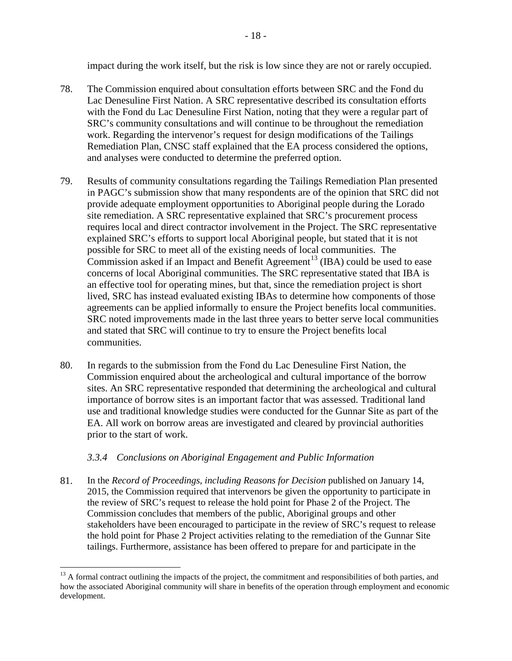impact during the work itself, but the risk is low since they are not or rarely occupied.

- 78. The Commission enquired about consultation efforts between SRC and the Fond du Lac Denesuline First Nation. A SRC representative described its consultation efforts with the Fond du Lac Denesuline First Nation, noting that they were a regular part of SRC's community consultations and will continue to be throughout the remediation work. Regarding the intervenor's request for design modifications of the Tailings Remediation Plan, CNSC staff explained that the EA process considered the options, and analyses were conducted to determine the preferred option.
- 79. Results of community consultations regarding the Tailings Remediation Plan presented in PAGC's submission show that many respondents are of the opinion that SRC did not provide adequate employment opportunities to Aboriginal people during the Lorado site remediation. A SRC representative explained that SRC's procurement process requires local and direct contractor involvement in the Project. The SRC representative explained SRC's efforts to support local Aboriginal people, but stated that it is not possible for SRC to meet all of the existing needs of local communities. The Commission asked if an Impact and Benefit Agreement<sup>13</sup> (IBA) could be used to ease concerns of local Aboriginal communities. The SRC representative stated that IBA is an effective tool for operating mines, but that, since the remediation project is short lived, SRC has instead evaluated existing IBAs to determine how components of those agreements can be applied informally to ensure the Project benefits local communities. SRC noted improvements made in the last three years to better serve local communities and stated that SRC will continue to try to ensure the Project benefits local communities.
- 80. In regards to the submission from the Fond du Lac Denesuline First Nation, the Commission enquired about the archeological and cultural importance of the borrow sites. An SRC representative responded that determining the archeological and cultural importance of borrow sites is an important factor that was assessed. Traditional land use and traditional knowledge studies were conducted for the Gunnar Site as part of the EA. All work on borrow areas are investigated and cleared by provincial authorities prior to the start of work.

#### <span id="page-21-0"></span>*3.3.4 Conclusions on Aboriginal Engagement and Public Information*

81. In the *Record of Proceedings, including Reasons for Decision* published on January 14, 2015, the Commission required that intervenors be given the opportunity to participate in the review of SRC's request to release the hold point for Phase 2 of the Project. The Commission concludes that members of the public, Aboriginal groups and other stakeholders have been encouraged to participate in the review of SRC's request to release the hold point for Phase 2 Project activities relating to the remediation of the Gunnar Site tailings. Furthermore, assistance has been offered to prepare for and participate in the

<span id="page-21-1"></span> $\overline{a}$ <sup>13</sup> A formal contract outlining the impacts of the project, the commitment and responsibilities of both parties, and how the associated Aboriginal community will share in benefits of the operation through employment and economic development.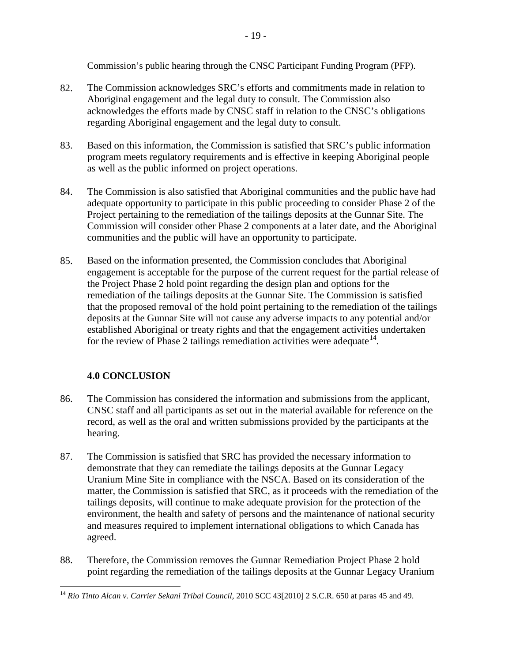Commission's public hearing through the CNSC Participant Funding Program (PFP).

- 82. The Commission acknowledges SRC's efforts and commitments made in relation to Aboriginal engagement and the legal duty to consult. The Commission also acknowledges the efforts made by CNSC staff in relation to the CNSC's obligations regarding Aboriginal engagement and the legal duty to consult.
- 83. Based on this information, the Commission is satisfied that SRC's public information program meets regulatory requirements and is effective in keeping Aboriginal people as well as the public informed on project operations.
- 84. The Commission is also satisfied that Aboriginal communities and the public have had adequate opportunity to participate in this public proceeding to consider Phase 2 of the Project pertaining to the remediation of the tailings deposits at the Gunnar Site. The Commission will consider other Phase 2 components at a later date, and the Aboriginal communities and the public will have an opportunity to participate.
- 85. Based on the information presented, the Commission concludes that Aboriginal engagement is acceptable for the purpose of the current request for the partial release of the Project Phase 2 hold point regarding the design plan and options for the remediation of the tailings deposits at the Gunnar Site. The Commission is satisfied that the proposed removal of the hold point pertaining to the remediation of the tailings deposits at the Gunnar Site will not cause any adverse impacts to any potential and/or established Aboriginal or treaty rights and that the engagement activities undertaken for the review of Phase 2 tailings remediation activities were adequate  $14$ .

#### <span id="page-22-0"></span>**4.0 CONCLUSION**

- 86. The Commission has considered the information and submissions from the applicant, CNSC staff and all participants as set out in the material available for reference on the record, as well as the oral and written submissions provided by the participants at the hearing.
- 87. The Commission is satisfied that SRC has provided the necessary information to demonstrate that they can remediate the tailings deposits at the Gunnar Legacy Uranium Mine Site in compliance with the NSCA. Based on its consideration of the matter, the Commission is satisfied that SRC, as it proceeds with the remediation of the tailings deposits, will continue to make adequate provision for the protection of the environment, the health and safety of persons and the maintenance of national security and measures required to implement international obligations to which Canada has agreed.
- 88. Therefore, the Commission removes the Gunnar Remediation Project Phase 2 hold point regarding the remediation of the tailings deposits at the Gunnar Legacy Uranium

<span id="page-22-1"></span><sup>&</sup>lt;u>.</u> <sup>14</sup> Rio Tinto Alcan v. Carrier Sekani Tribal Council, 2010 SCC 43[2010] 2 S.C.R. 650 at paras 45 and 49.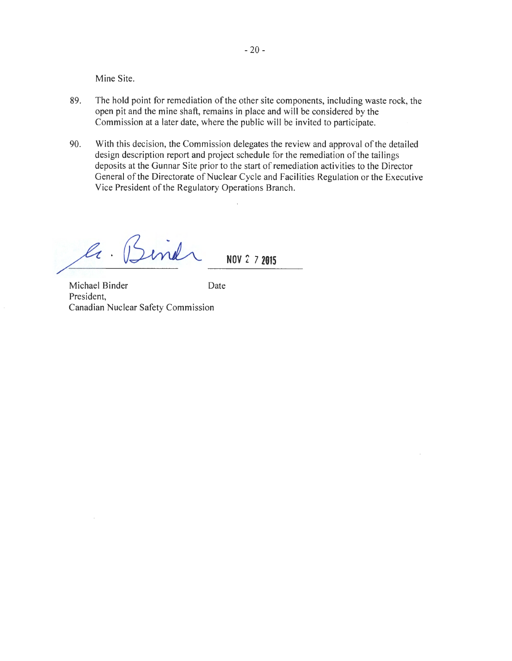Mine Site.

- 89. The hold point for remediation of the other site components, including waste rock, the open pit and the mine shaft, remains in place and will be considered by the Commission at a later date, where the public will be invited to participate.
- 90. With this decision, the Commission delegates the review and approval of the detailed design description report and project schedule for the remediation of the tailings deposits at the Gunnar Site prior to the start of remediation activities to the Director General of the Directorate of Nuclear Cycle and Facilities Regulation or the Executive Vice President of the Regulatory Operations Branch.

 $\mathscr{L}_t$  $m$ el  $\sim$  **NOV** 2 7 2015

Michael Binder Date President, Canadian Nuclear Safety Commission